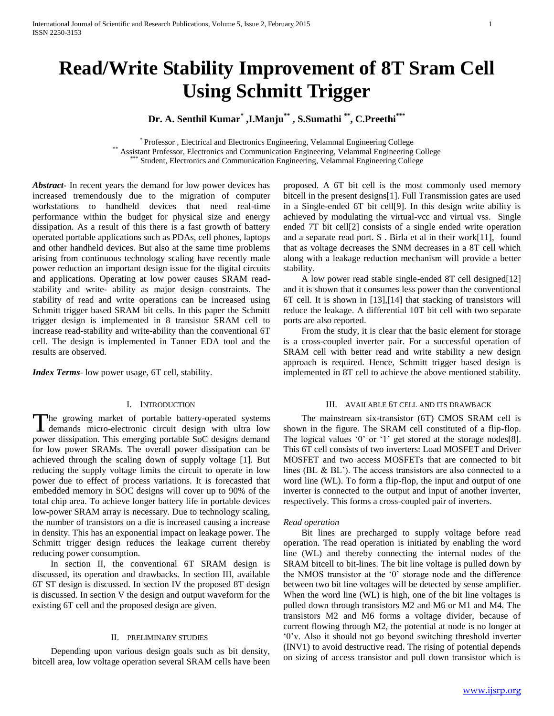# **Read/Write Stability Improvement of 8T Sram Cell Using Schmitt Trigger**

# **Dr. A. Senthil Kumar\* ,I.Manju\*\* , S.Sumathi \*\*, C.Preethi\*\*\***

\* Professor , Electrical and Electronics Engineering, Velammal Engineering College \*\* Assistant Professor, Electronics and Communication Engineering, Velammal Engineering College Student, Electronics and Communication Engineering, Velammal Engineering College

*Abstract***-** In recent years the demand for low power devices has increased tremendously due to the migration of computer workstations to handheld devices that need real-time performance within the budget for physical size and energy dissipation. As a result of this there is a fast growth of battery operated portable applications such as PDAs, cell phones, laptops and other handheld devices. But also at the same time problems arising from continuous technology scaling have recently made power reduction an important design issue for the digital circuits and applications. Operating at low power causes SRAM readstability and write- ability as major design constraints. The stability of read and write operations can be increased using Schmitt trigger based SRAM bit cells. In this paper the Schmitt trigger design is implemented in 8 transistor SRAM cell to increase read-stability and write-ability than the conventional 6T cell. The design is implemented in Tanner EDA tool and the results are observed.

*Index Terms*- low power usage, 6T cell, stability.

# I. INTRODUCTION

The growing market of portable battery-operated systems demands micro-electronic circuit design with ultra low **demands** micro-electronic circuit design with ultra low power dissipation. This emerging portable SoC designs demand for low power SRAMs. The overall power dissipation can be achieved through the scaling down of supply voltage [1]. But reducing the supply voltage limits the circuit to operate in low power due to effect of process variations. It is forecasted that embedded memory in SOC designs will cover up to 90% of the total chip area. To achieve longer battery life in portable devices low-power SRAM array is necessary. Due to technology scaling, the number of transistors on a die is increased causing a increase in density. This has an exponential impact on leakage power. The Schmitt trigger design reduces the leakage current thereby reducing power consumption.

 In section II, the conventional 6T SRAM design is discussed, its operation and drawbacks. In section III, available 6T ST design is discussed. In section IV the proposed 8T design is discussed. In section V the design and output waveform for the existing 6T cell and the proposed design are given.

# II. PRELIMINARY STUDIES

 Depending upon various design goals such as bit density, bitcell area, low voltage operation several SRAM cells have been proposed. A 6T bit cell is the most commonly used memory bitcell in the present designs[1]. Full Transmission gates are used in a Single-ended 6T bit cell[9]. In this design write ability is achieved by modulating the virtual-vcc and virtual vss. Single ended 7T bit cell[2] consists of a single ended write operation and a separate read port. S . Birla et al in their work[11],found that as voltage decreases the SNM decreases in a 8T cell which along with a leakage reduction mechanism will provide a better stability.

 A low power read stable single-ended 8T cell designed[12] and it is shown that it consumes less power than the conventional 6T cell. It is shown in [13],[14] that stacking of transistors will reduce the leakage. A differential 10T bit cell with two separate ports are also reported.

 From the study, it is clear that the basic element for storage is a cross-coupled inverter pair. For a successful operation of SRAM cell with better read and write stability a new design approach is required. Hence, Schmitt trigger based design is implemented in 8T cell to achieve the above mentioned stability.

#### III. AVAILABLE 6T CELL AND ITS DRAWBACK

 The mainstream six-transistor (6T) CMOS SRAM cell is shown in the figure. The SRAM cell constituted of a flip-flop. The logical values '0' or '1' get stored at the storage nodes[8]. This 6T cell consists of two inverters: Load MOSFET and Driver MOSFET and two access MOSFETs that are connected to bit lines (BL & BL'). The access transistors are also connected to a word line (WL). To form a flip-flop, the input and output of one inverter is connected to the output and input of another inverter, respectively. This forms a cross-coupled pair of inverters.

#### *Read operation*

 Bit lines are precharged to supply voltage before read operation. The read operation is initiated by enabling the word line (WL) and thereby connecting the internal nodes of the SRAM bitcell to bit-lines. The bit line voltage is pulled down by the NMOS transistor at the '0' storage node and the difference between two bit line voltages will be detected by sense amplifier. When the word line (WL) is high, one of the bit line voltages is pulled down through transistors M2 and M6 or M1 and M4. The transistors M2 and M6 forms a voltage divider, because of current flowing through M2, the potential at node is no longer at '0'v. Also it should not go beyond switching threshold inverter (INV1) to avoid destructive read. The rising of potential depends on sizing of access transistor and pull down transistor which is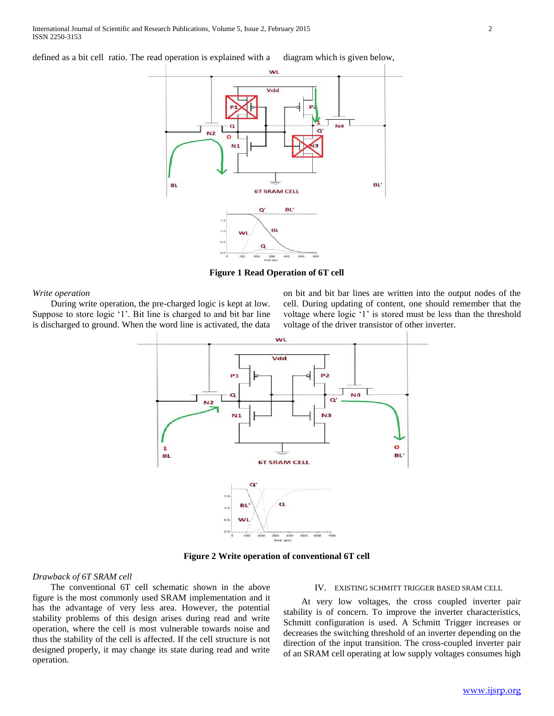defined as a bit cell ratio. The read operation is explained with a diagram which is given below,



**Figure 1 Read Operation of 6T cell**

#### *Write operation*

 During write operation, the pre-charged logic is kept at low. Suppose to store logic '1'. Bit line is charged to and bit bar line is discharged to ground. When the word line is activated, the data on bit and bit bar lines are written into the output nodes of the cell. During updating of content, one should remember that the voltage where logic '1' is stored must be less than the threshold voltage of the driver transistor of other inverter.



**Figure 2 Write operation of conventional 6T cell**

# *Drawback of 6T SRAM cell*

 The conventional 6T cell schematic shown in the above figure is the most commonly used SRAM implementation and it has the advantage of very less area. However, the potential stability problems of this design arises during read and write operation, where the cell is most vulnerable towards noise and thus the stability of the cell is affected. If the cell structure is not designed properly, it may change its state during read and write operation.

### IV. EXISTING SCHMITT TRIGGER BASED SRAM CELL

 At very low voltages, the cross coupled inverter pair stability is of concern. To improve the inverter characteristics, Schmitt configuration is used. A Schmitt Trigger increases or decreases the switching threshold of an inverter depending on the direction of the input transition. The cross-coupled inverter pair of an SRAM cell operating at low supply voltages consumes high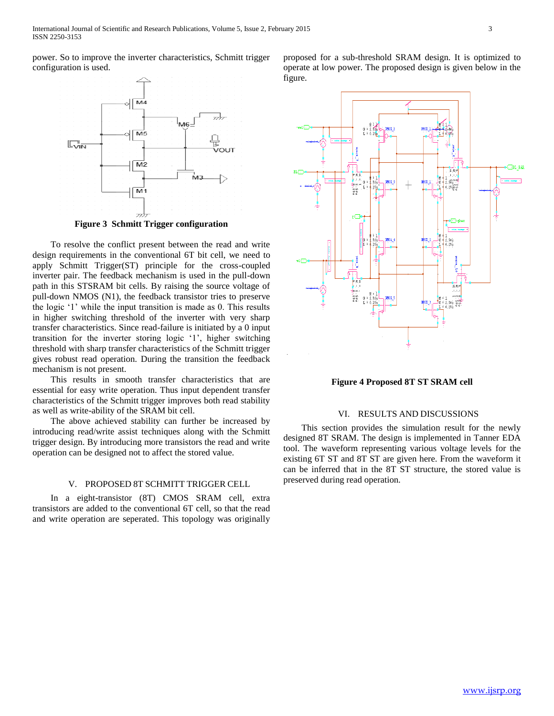power. So to improve the inverter characteristics, Schmitt trigger configuration is used.



 To resolve the conflict present between the read and write design requirements in the conventional 6T bit cell, we need to apply Schmitt Trigger(ST) principle for the cross-coupled inverter pair. The feedback mechanism is used in the pull-down path in this STSRAM bit cells. By raising the source voltage of pull-down NMOS (N1), the feedback transistor tries to preserve the logic '1' while the input transition is made as 0. This results in higher switching threshold of the inverter with very sharp transfer characteristics. Since read-failure is initiated by a 0 input transition for the inverter storing logic '1', higher switching threshold with sharp transfer characteristics of the Schmitt trigger gives robust read operation. During the transition the feedback mechanism is not present.

 This results in smooth transfer characteristics that are essential for easy write operation. Thus input dependent transfer characteristics of the Schmitt trigger improves both read stability as well as write-ability of the SRAM bit cell.

 The above achieved stability can further be increased by introducing read/write assist techniques along with the Schmitt trigger design. By introducing more transistors the read and write operation can be designed not to affect the stored value.

#### V. PROPOSED 8T SCHMITT TRIGGER CELL

 In a eight-transistor (8T) CMOS SRAM cell, extra transistors are added to the conventional 6T cell, so that the read and write operation are seperated. This topology was originally proposed for a sub-threshold SRAM design. It is optimized to operate at low power. The proposed design is given below in the figure.



**Figure 4 Proposed 8T ST SRAM cell**

# VI. RESULTS AND DISCUSSIONS

 This section provides the simulation result for the newly designed 8T SRAM. The design is implemented in Tanner EDA tool. The waveform representing various voltage levels for the existing 6T ST and 8T ST are given here. From the waveform it can be inferred that in the 8T ST structure, the stored value is preserved during read operation.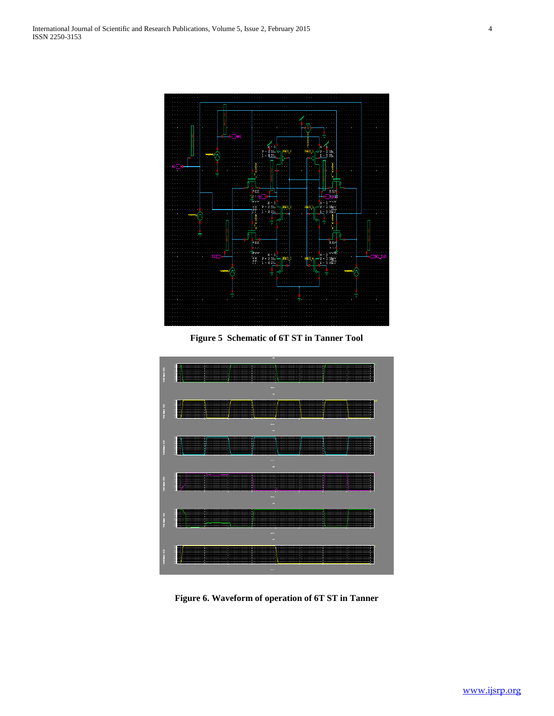

**Figure 5 Schematic of 6T ST in Tanner Tool**



**Figure 6. Waveform of operation of 6T ST in Tanner**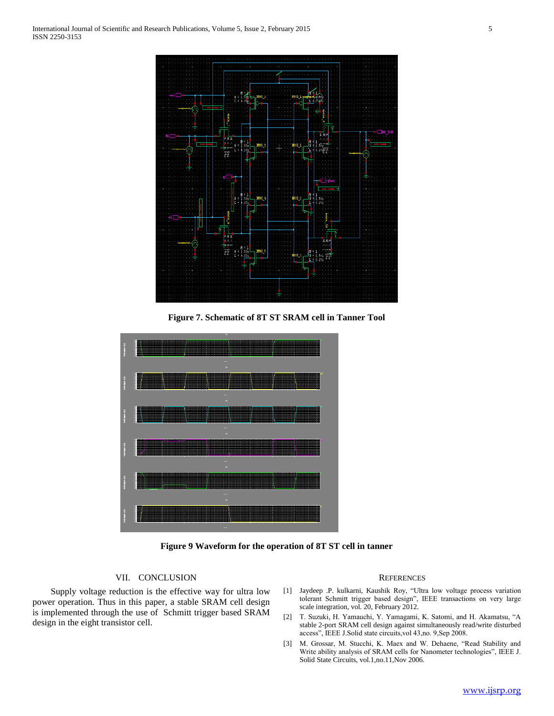

**Figure 7. Schematic of 8T ST SRAM cell in Tanner Tool**



**Figure 9 Waveform for the operation of 8T ST cell in tanner**

# VII. CONCLUSION

 Supply voltage reduction is the effective way for ultra low power operation. Thus in this paper, a stable SRAM cell design is implemented through the use of Schmitt trigger based SRAM design in the eight transistor cell.

#### **REFERENCES**

- [1] Jaydeep .P. kulkarni, Kaushik Roy, "Ultra low voltage process variation tolerant Schmitt trigger based design", IEEE transactions on very large scale integration, vol. 20, February 2012.
- [2] T. Suzuki, H. Yamauchi, Y. Yamagami, K. Satomi, and H. Akamatsu, "A stable 2-port SRAM cell design against simultaneously read/write disturbed access", IEEE J.Solid state circuits,vol 43,no. 9,Sep 2008.
- [3] M. Grossar, M. Stucchi, K. Maex and W. Dehaene, "Read Stability and Write ability analysis of SRAM cells for Nanometer technologies", IEEE J. Solid State Circuits, vol.1,no.11,Nov 2006.